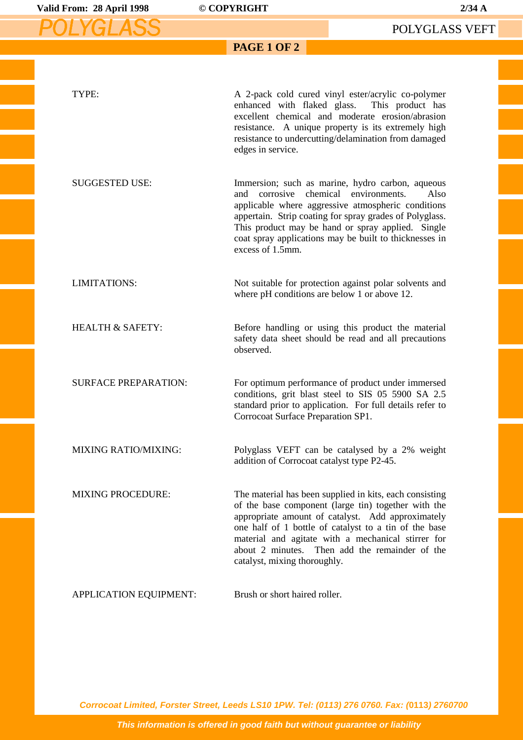| Valid From: 28 April 1998   | © COPYRIGHT                                              | $2/34$ A                                                                                                                                                                                                                                                                                                                             |
|-----------------------------|----------------------------------------------------------|--------------------------------------------------------------------------------------------------------------------------------------------------------------------------------------------------------------------------------------------------------------------------------------------------------------------------------------|
|                             |                                                          | POLYGLASS VEFT                                                                                                                                                                                                                                                                                                                       |
|                             | <b>PAGE 1 OF 2</b>                                       |                                                                                                                                                                                                                                                                                                                                      |
| TYPE:                       | enhanced with flaked glass.<br>edges in service.         | A 2-pack cold cured vinyl ester/acrylic co-polymer<br>This product has<br>excellent chemical and moderate erosion/abrasion<br>resistance. A unique property is its extremely high<br>resistance to undercutting/delamination from damaged                                                                                            |
| <b>SUGGESTED USE:</b>       | and corrosive chemical environments.<br>excess of 1.5mm. | Immersion; such as marine, hydro carbon, aqueous<br>Also<br>applicable where aggressive atmospheric conditions<br>appertain. Strip coating for spray grades of Polyglass.<br>This product may be hand or spray applied. Single<br>coat spray applications may be built to thicknesses in                                             |
| LIMITATIONS:                | where pH conditions are below 1 or above 12.             | Not suitable for protection against polar solvents and                                                                                                                                                                                                                                                                               |
| <b>HEALTH &amp; SAFETY:</b> | observed.                                                | Before handling or using this product the material<br>safety data sheet should be read and all precautions                                                                                                                                                                                                                           |
| <b>SURFACE PREPARATION:</b> | Corrocoat Surface Preparation SP1.                       | For optimum performance of product under immersed<br>conditions, grit blast steel to SIS 05 5900 SA 2.5<br>standard prior to application. For full details refer to                                                                                                                                                                  |
| <b>MIXING RATIO/MIXING:</b> | addition of Corrocoat catalyst type P2-45.               | Polyglass VEFT can be catalysed by a 2% weight                                                                                                                                                                                                                                                                                       |
| <b>MIXING PROCEDURE:</b>    | catalyst, mixing thoroughly.                             | The material has been supplied in kits, each consisting<br>of the base component (large tin) together with the<br>appropriate amount of catalyst. Add approximately<br>one half of 1 bottle of catalyst to a tin of the base<br>material and agitate with a mechanical stirrer for<br>about 2 minutes. Then add the remainder of the |
| APPLICATION EQUIPMENT:      | Brush or short haired roller.                            |                                                                                                                                                                                                                                                                                                                                      |

**Corrocoat Limited, Forster Street, Leeds LS10 1PW. Tel: (0113) 276 0760. Fax: (0113) 2760700**